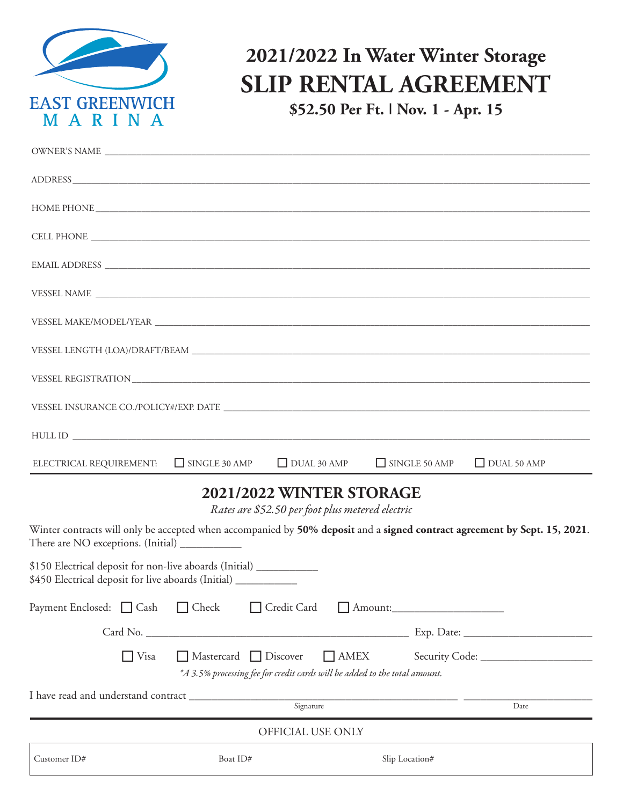

## **2021/2022 In Water Winter Storage SLIP RENTAL AGREEMENT**

**\$52.50 Per Ft. | Nov. 1 - Apr. 15**

| DUAL 30 AMP<br>$\Box$ SINGLE 50 AMP<br>ELECTRICAL REQUIREMENT: SINGLE 30 AMP<br>$\Box$ DUAL 50 AMP                                                                                                        |  |
|-----------------------------------------------------------------------------------------------------------------------------------------------------------------------------------------------------------|--|
| 2021/2022 WINTER STORAGE<br>Rates are \$52.50 per foot plus metered electric<br>Winter contracts will only be accepted when accompanied by 50% deposit and a signed contract agreement by Sept. 15, 2021. |  |
| There are NO exceptions. (Initial) ___________                                                                                                                                                            |  |
| \$150 Electrical deposit for non-live aboards (Initial) ___________<br>\$450 Electrical deposit for live aboards (Initial) __________                                                                     |  |
| Payment Enclosed: □ Cash □ Check<br>Credit Card Amount:                                                                                                                                                   |  |
|                                                                                                                                                                                                           |  |
| $\Box$ Visa<br>$\Box$ AMEX<br>$\Box$ Mastercard $\Box$ Discover                                                                                                                                           |  |
| *A 3.5% processing fee for credit cards will be added to the total amount.                                                                                                                                |  |

I have read and understand contract \_\_\_\_\_\_\_\_\_\_\_\_\_\_\_\_\_\_\_\_\_\_\_\_\_\_\_\_\_\_\_\_\_\_\_\_\_\_\_\_\_\_\_\_\_\_\_\_ \_\_\_\_\_\_\_\_\_\_\_\_\_\_\_\_\_\_\_\_\_\_\_ Signature OFFICIAL USE ONLY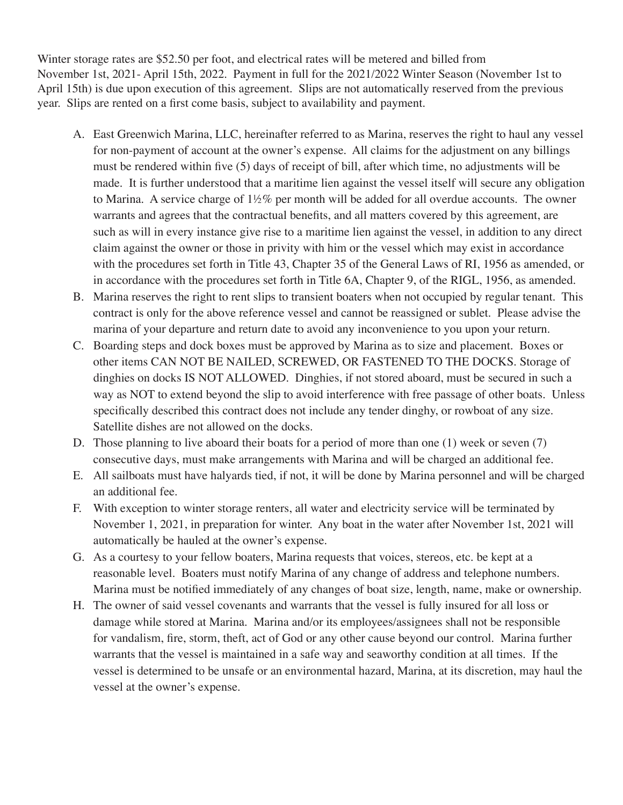Winter storage rates are \$52.50 per foot, and electrical rates will be metered and billed from November 1st, 2021- April 15th, 2022. Payment in full for the 2021/2022 Winter Season (November 1st to April 15th) is due upon execution of this agreement. Slips are not automatically reserved from the previous year. Slips are rented on a first come basis, subject to availability and payment.

- A. East Greenwich Marina, LLC, hereinafter referred to as Marina, reserves the right to haul any vessel for non-payment of account at the owner's expense. All claims for the adjustment on any billings must be rendered within five (5) days of receipt of bill, after which time, no adjustments will be made. It is further understood that a maritime lien against the vessel itself will secure any obligation to Marina. A service charge of 1½% per month will be added for all overdue accounts. The owner warrants and agrees that the contractual benefits, and all matters covered by this agreement, are such as will in every instance give rise to a maritime lien against the vessel, in addition to any direct claim against the owner or those in privity with him or the vessel which may exist in accordance with the procedures set forth in Title 43, Chapter 35 of the General Laws of RI, 1956 as amended, or in accordance with the procedures set forth in Title 6A, Chapter 9, of the RIGL, 1956, as amended.
- B. Marina reserves the right to rent slips to transient boaters when not occupied by regular tenant. This contract is only for the above reference vessel and cannot be reassigned or sublet. Please advise the marina of your departure and return date to avoid any inconvenience to you upon your return.
- C. Boarding steps and dock boxes must be approved by Marina as to size and placement. Boxes or other items CAN NOT BE NAILED, SCREWED, OR FASTENED TO THE DOCKS. Storage of dinghies on docks IS NOT ALLOWED. Dinghies, if not stored aboard, must be secured in such a way as NOT to extend beyond the slip to avoid interference with free passage of other boats. Unless specifically described this contract does not include any tender dinghy, or rowboat of any size. Satellite dishes are not allowed on the docks.
- D. Those planning to live aboard their boats for a period of more than one (1) week or seven (7) consecutive days, must make arrangements with Marina and will be charged an additional fee.
- E. All sailboats must have halyards tied, if not, it will be done by Marina personnel and will be charged an additional fee.
- F. With exception to winter storage renters, all water and electricity service will be terminated by November 1, 2021, in preparation for winter. Any boat in the water after November 1st, 2021 will automatically be hauled at the owner's expense.
- G. As a courtesy to your fellow boaters, Marina requests that voices, stereos, etc. be kept at a reasonable level. Boaters must notify Marina of any change of address and telephone numbers. Marina must be notified immediately of any changes of boat size, length, name, make or ownership.
- H. The owner of said vessel covenants and warrants that the vessel is fully insured for all loss or damage while stored at Marina. Marina and/or its employees/assignees shall not be responsible for vandalism, fire, storm, theft, act of God or any other cause beyond our control. Marina further warrants that the vessel is maintained in a safe way and seaworthy condition at all times. If the vessel is determined to be unsafe or an environmental hazard, Marina, at its discretion, may haul the vessel at the owner's expense.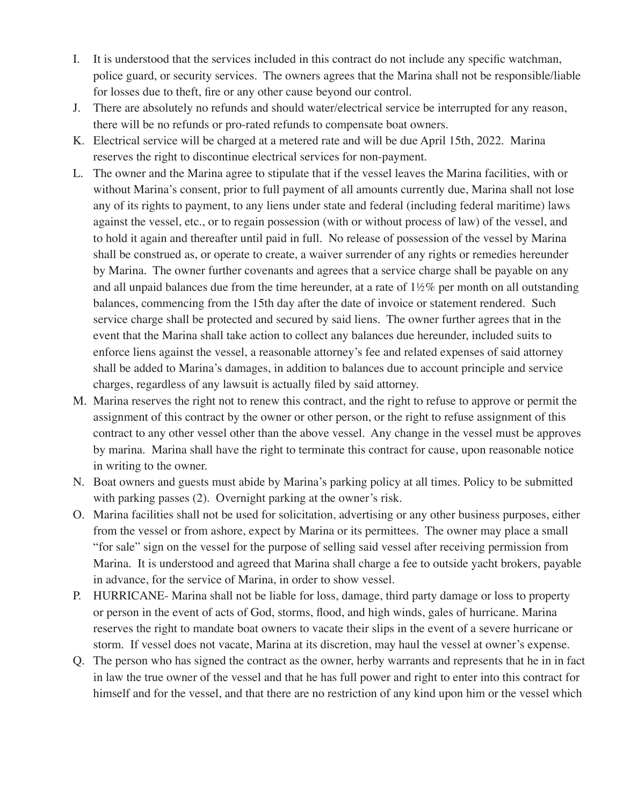- I. It is understood that the services included in this contract do not include any specific watchman, police guard, or security services. The owners agrees that the Marina shall not be responsible/liable for losses due to theft, fire or any other cause beyond our control.
- J. There are absolutely no refunds and should water/electrical service be interrupted for any reason, there will be no refunds or pro-rated refunds to compensate boat owners.
- K. Electrical service will be charged at a metered rate and will be due April 15th, 2022. Marina reserves the right to discontinue electrical services for non-payment.
- L. The owner and the Marina agree to stipulate that if the vessel leaves the Marina facilities, with or without Marina's consent, prior to full payment of all amounts currently due, Marina shall not lose any of its rights to payment, to any liens under state and federal (including federal maritime) laws against the vessel, etc., or to regain possession (with or without process of law) of the vessel, and to hold it again and thereafter until paid in full. No release of possession of the vessel by Marina shall be construed as, or operate to create, a waiver surrender of any rights or remedies hereunder by Marina. The owner further covenants and agrees that a service charge shall be payable on any and all unpaid balances due from the time hereunder, at a rate of  $1\frac{1}{2}\%$  per month on all outstanding balances, commencing from the 15th day after the date of invoice or statement rendered. Such service charge shall be protected and secured by said liens. The owner further agrees that in the event that the Marina shall take action to collect any balances due hereunder, included suits to enforce liens against the vessel, a reasonable attorney's fee and related expenses of said attorney shall be added to Marina's damages, in addition to balances due to account principle and service charges, regardless of any lawsuit is actually filed by said attorney.
- M. Marina reserves the right not to renew this contract, and the right to refuse to approve or permit the assignment of this contract by the owner or other person, or the right to refuse assignment of this contract to any other vessel other than the above vessel. Any change in the vessel must be approves by marina. Marina shall have the right to terminate this contract for cause, upon reasonable notice in writing to the owner.
- N. Boat owners and guests must abide by Marina's parking policy at all times. Policy to be submitted with parking passes (2). Overnight parking at the owner's risk.
- O. Marina facilities shall not be used for solicitation, advertising or any other business purposes, either from the vessel or from ashore, expect by Marina or its permittees. The owner may place a small "for sale" sign on the vessel for the purpose of selling said vessel after receiving permission from Marina. It is understood and agreed that Marina shall charge a fee to outside yacht brokers, payable in advance, for the service of Marina, in order to show vessel.
- P. HURRICANE- Marina shall not be liable for loss, damage, third party damage or loss to property or person in the event of acts of God, storms, flood, and high winds, gales of hurricane. Marina reserves the right to mandate boat owners to vacate their slips in the event of a severe hurricane or storm. If vessel does not vacate, Marina at its discretion, may haul the vessel at owner's expense.
- Q. The person who has signed the contract as the owner, herby warrants and represents that he in in fact in law the true owner of the vessel and that he has full power and right to enter into this contract for himself and for the vessel, and that there are no restriction of any kind upon him or the vessel which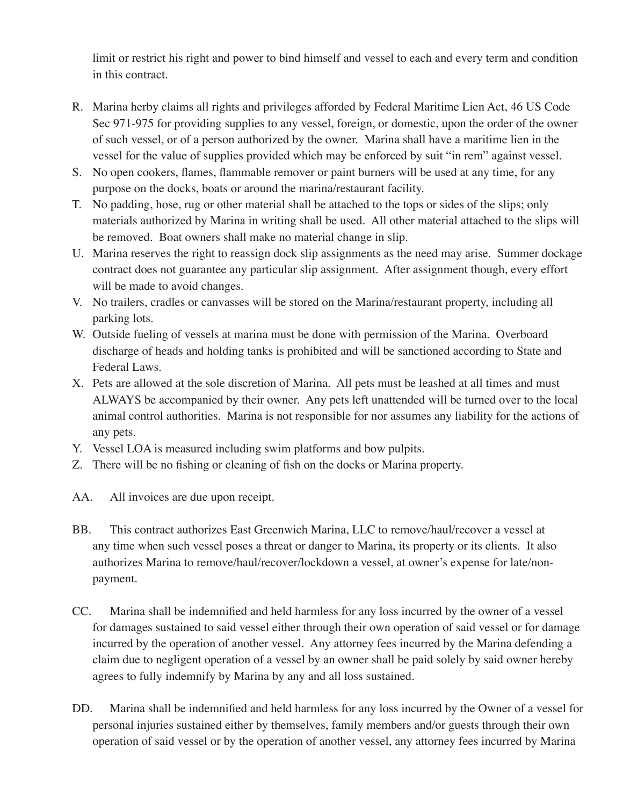limit or restrict his right and power to bind himself and vessel to each and every term and condition in this contract.

- R. Marina herby claims all rights and privileges afforded by Federal Maritime Lien Act, 46 US Code Sec 971-975 for providing supplies to any vessel, foreign, or domestic, upon the order of the owner of such vessel, or of a person authorized by the owner. Marina shall have a maritime lien in the vessel for the value of supplies provided which may be enforced by suit "in rem" against vessel.
- S. No open cookers, flames, flammable remover or paint burners will be used at any time, for any purpose on the docks, boats or around the marina/restaurant facility.
- T. No padding, hose, rug or other material shall be attached to the tops or sides of the slips; only materials authorized by Marina in writing shall be used. All other material attached to the slips will be removed. Boat owners shall make no material change in slip.
- U. Marina reserves the right to reassign dock slip assignments as the need may arise. Summer dockage contract does not guarantee any particular slip assignment. After assignment though, every effort will be made to avoid changes.
- V. No trailers, cradles or canvasses will be stored on the Marina/restaurant property, including all parking lots.
- W. Outside fueling of vessels at marina must be done with permission of the Marina. Overboard discharge of heads and holding tanks is prohibited and will be sanctioned according to State and Federal Laws.
- X. Pets are allowed at the sole discretion of Marina. All pets must be leashed at all times and must ALWAYS be accompanied by their owner. Any pets left unattended will be turned over to the local animal control authorities. Marina is not responsible for nor assumes any liability for the actions of any pets.
- Y. Vessel LOA is measured including swim platforms and bow pulpits.
- Z. There will be no fishing or cleaning of fish on the docks or Marina property.
- AA. All invoices are due upon receipt.
- BB. This contract authorizes East Greenwich Marina, LLC to remove/haul/recover a vessel at any time when such vessel poses a threat or danger to Marina, its property or its clients. It also authorizes Marina to remove/haul/recover/lockdown a vessel, at owner's expense for late/nonpayment.
- CC. Marina shall be indemnified and held harmless for any loss incurred by the owner of a vessel for damages sustained to said vessel either through their own operation of said vessel or for damage incurred by the operation of another vessel. Any attorney fees incurred by the Marina defending a claim due to negligent operation of a vessel by an owner shall be paid solely by said owner hereby agrees to fully indemnify by Marina by any and all loss sustained.
- DD. Marina shall be indemnified and held harmless for any loss incurred by the Owner of a vessel for personal injuries sustained either by themselves, family members and/or guests through their own operation of said vessel or by the operation of another vessel, any attorney fees incurred by Marina